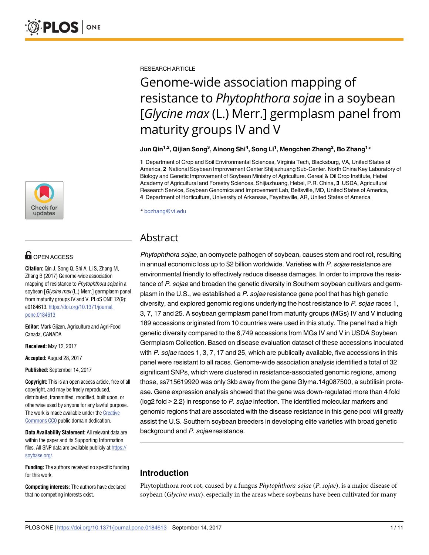

# **OPEN ACCESS**

**Citation:** Qin J, Song Q, Shi A, Li S, Zhang M, Zhang B (2017) Genome-wide association mapping of resistance to Phytophthora sojae in a soybean [Glycine max (L.) Merr.] germplasm panel from maturity groups IV and V. PLoS ONE 12(9): e0184613. [https://doi.org/10.1371/journal.](https://doi.org/10.1371/journal.pone.0184613) [pone.0184613](https://doi.org/10.1371/journal.pone.0184613)

**Editor:** Mark Gijzen, Agriculture and Agri-Food Canada, CANADA

**Received:** May 12, 2017

**Accepted:** August 28, 2017

**Published:** September 14, 2017

**Copyright:** This is an open access article, free of all copyright, and may be freely reproduced, distributed, transmitted, modified, built upon, or otherwise used by anyone for any lawful purpose. The work is made available under the [Creative](https://creativecommons.org/publicdomain/zero/1.0/) [Commons](https://creativecommons.org/publicdomain/zero/1.0/) CC0 public domain dedication.

**Data Availability Statement:** All relevant data are within the paper and its Supporting Information files. All SNP data are available publicly at [https://](https://soybase.org/) [soybase.org/](https://soybase.org/).

**Funding:** The authors received no specific funding for this work.

**Competing interests:** The authors have declared that no competing interests exist.

RESEARCH ARTICLE

# Genome-wide association mapping of resistance to *Phytophthora sojae* in a soybean [*Glycine max* (L.) Merr.] germplasm panel from maturity groups IV and V

**Jun Qin1,2, Qijian Song3 , Ainong Shi4 , Song Li1 , Mengchen Zhang2 , Bo Zhang1 \***

**1** Department of Crop and Soil Environmental Sciences, Virginia Tech, Blacksburg, VA, United States of America, **2** National Soybean Improvement Center Shijiazhuang Sub-Center. North China Key Laboratory of Biology and Genetic Improvement of Soybean Ministry of Agriculture. Cereal & Oil Crop Institute, Hebei Academy of Agricultural and Forestry Sciences, Shijiazhuang, Hebei, P.R. China, **3** USDA, Agricultural Research Service, Soybean Genomics and Improvement Lab, Beltsville, MD, United States of America, **4** Department of Horticulture, University of Arkansas, Fayetteville, AR, United States of America

\* bozhang@vt.edu

# Abstract

Phytophthora sojae, an oomycete pathogen of soybean, causes stem and root rot, resulting in annual economic loss up to \$2 billion worldwide. Varieties with P. sojae resistance are environmental friendly to effectively reduce disease damages. In order to improve the resistance of P. sojae and broaden the genetic diversity in Southern soybean cultivars and germplasm in the U.S., we established a P. sojae resistance gene pool that has high genetic diversity, and explored genomic regions underlying the host resistance to P. sojae races 1, 3, 7, 17 and 25. A soybean germplasm panel from maturity groups (MGs) IV and V including 189 accessions originated from 10 countries were used in this study. The panel had a high genetic diversity compared to the 6,749 accessions from MGs IV and V in USDA Soybean Germplasm Collection. Based on disease evaluation dataset of these accessions inoculated with P. sojae races 1, 3, 7, 17 and 25, which are publically available, five accessions in this panel were resistant to all races. Genome-wide association analysis identified a total of 32 significant SNPs, which were clustered in resistance-associated genomic regions, among those, ss715619920 was only 3kb away from the gene Glyma.14g087500, a subtilisin protease. Gene expression analysis showed that the gene was down-regulated more than 4 fold (log2 fold > 2.2) in response to P. sojae infection. The identified molecular markers and genomic regions that are associated with the disease resistance in this gene pool will greatly assist the U.S. Southern soybean breeders in developing elite varieties with broad genetic background and P. sojae resistance.

# **Introduction**

Phytophthora root rot, caused by a fungus *Phytophthora sojae* (*P*. *sojae*), is a major disease of soybean (*Glycine max*), especially in the areas where soybeans have been cultivated for many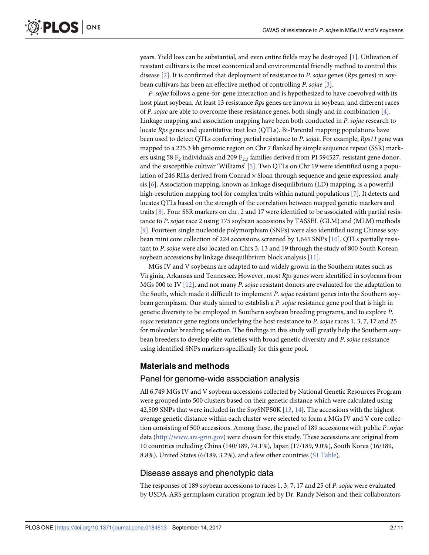<span id="page-1-0"></span>years. Yield loss can be substantial, and even entire fields may be destroyed [\[1\]](#page-9-0). Utilization of resistant cultivars is the most economical and environmental friendly method to control this disease [[2](#page-9-0)]. It is confirmed that deployment of resistance to *P*. *sojae* genes (*Rps* genes) in soybean cultivars has been an effective method of controlling *P*. *sojae* [[3\]](#page-9-0).

*P*. *sojae* follows a gene-for-gene interaction and is hypothesized to have coevolved with its host plant soybean. At least 13 resistance *Rps* genes are known in soybean, and different races of *P*. *sojae* are able to overcome these resistance genes, both singly and in combination [\[4](#page-9-0)]. Linkage mapping and association mapping have been both conducted in *P*. *sojae* research to locate *Rps* genes and quantitative trait loci (QTLs). Bi-Parental mapping populations have been used to detect QTLs conferring partial resistance to *P*. *sojae*. For example, *Rps11* gene was mapped to a 225.3 kb genomic region on Chr 7 flanked by simple sequence repeat (SSR) markers using 58  $F_2$  individuals and 209  $F_{2:3}$  families derived from PI 594527, resistant gene donor, and the susceptible cultivar 'Williams' [\[5\]](#page-9-0). Two QTLs on Chr 19 were identified using a population of 246 RILs derived from Conrad  $\times$  Sloan through sequence and gene expression analysis [\[6](#page-9-0)]. Association mapping, known as linkage disequilibrium (LD) mapping, is a powerful high-resolution mapping tool for complex traits within natural populations [\[7](#page-9-0)]. It detects and locates QTLs based on the strength of the correlation between mapped genetic markers and traits [[8\]](#page-9-0). Four SSR markers on chr. 2 and 17 were identified to be associated with partial resistance to *P*. *sojae* race 2 using 175 soybean accessions by TASSEL (GLM) and (MLM) methods [\[9](#page-9-0)]. Fourteen single nucleotide polymorphism (SNPs) were also identified using Chinese soy-bean mini core collection of 224 accessions screened by 1,645 SNPs [\[10\]](#page-9-0). QTLs partially resistant to *P*. *sojae* were also located on Chrs 3, 13 and 19 through the study of 800 South Korean soybean accessions by linkage disequilibrium block analysis [\[11\]](#page-9-0).

MGs IV and V soybeans are adapted to and widely grown in the Southern states such as Virginia, Arkansas and Tennessee. However, most *Rps* genes were identified in soybeans from MGs 000 to IV [[12](#page-9-0)], and not many *P*. *sojae* resistant donors are evaluated for the adaptation to the South, which made it difficult to implement *P*. *sojae* resistant genes into the Southern soybean germplasm. Our study aimed to establish a *P*. *sojae* resistance gene pool that is high in genetic diversity to be employed in Southern soybean breeding programs, and to explore *P*. *sojae* resistance gene regions underlying the host resistance to *P*. *sojae* races 1, 3, 7, 17 and 25 for molecular breeding selection. The findings in this study will greatly help the Southern soybean breeders to develop elite varieties with broad genetic diversity and *P*. *sojae* resistance using identified SNPs markers specifically for this gene pool.

# **Materials and methods**

#### Panel for genome-wide association analysis

All 6,749 MGs IV and V soybean accessions collected by National Genetic Resources Program were grouped into 500 clusters based on their genetic distance which were calculated using 42,509 SNPs that were included in the SoySNP50K [[13](#page-9-0), [14](#page-9-0)]. The accessions with the highest average genetic distance within each cluster were selected to form a MGs IV and V core collection consisting of 500 accessions. Among these, the panel of 189 accessions with public *P*. *sojae* data ([http://www.ars-grin.gov\)](http://www.ars-grin.gov/) were chosen for this study. These accessions are original from 10 countries including China (140/189, 74.1%), Japan (17/189, 9.0%), South Korea (16/189, 8.8%), United States (6/189, 3.2%), and a few other countries (S1 [Table](#page-8-0)).

### Disease assays and phenotypic data

The responses of 189 soybean accessions to races 1, 3, 7, 17 and 25 of *P*. *sojae* were evaluated by USDA-ARS germplasm curation program led by Dr. Randy Nelson and their collaborators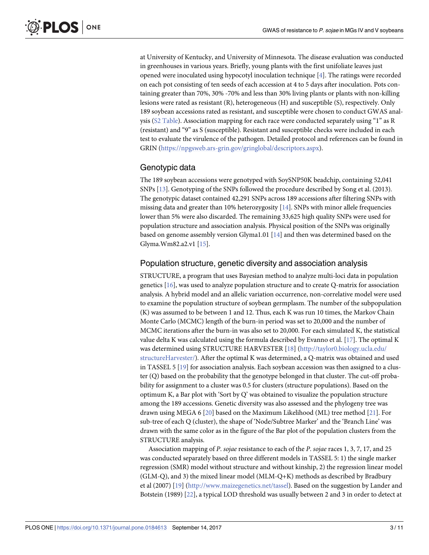<span id="page-2-0"></span>at University of Kentucky, and University of Minnesota. The disease evaluation was conducted in greenhouses in various years. Briefly, young plants with the first unifoliate leaves just opened were inoculated using hypocotyl inoculation technique [[4](#page-9-0)]. The ratings were recorded on each pot consisting of ten seeds of each accession at 4 to 5 days after inoculation. Pots containing greater than 70%, 30% -70% and less than 30% living plants or plants with non-killing lesions were rated as resistant (R), heterogeneous (H) and susceptible (S), respectively. Only 189 soybean accessions rated as resistant, and susceptible were chosen to conduct GWAS analysis (S2 [Table\)](#page-8-0). Association mapping for each race were conducted separately using "1" as R (resistant) and "9" as S (susceptible). Resistant and susceptible checks were included in each test to evaluate the virulence of the pathogen. Detailed protocol and references can be found in GRIN ([https://npgsweb.ars-grin.gov/gringlobal/descriptors.aspx\)](https://npgsweb.ars-grin.gov/gringlobal/descriptors.aspx).

# Genotypic data

The 189 soybean accessions were genotyped with SoySNP50K beadchip, containing 52,041 SNPs [[13](#page-9-0)]. Genotyping of the SNPs followed the procedure described by Song et al. (2013). The genotypic dataset contained 42,291 SNPs across 189 accessions after filtering SNPs with missing data and greater than 10% heterozygosity  $[14]$  $[14]$  $[14]$ . SNPs with minor allele frequencies lower than 5% were also discarded. The remaining 33,625 high quality SNPs were used for population structure and association analysis. Physical position of the SNPs was originally based on genome assembly version Glyma1.01 [\[14\]](#page-9-0) and then was determined based on the Glyma.Wm82.a2.v1 [[15](#page-9-0)].

## Population structure, genetic diversity and association analysis

STRUCTURE, a program that uses Bayesian method to analyze multi-loci data in population genetics [[16](#page-9-0)], was used to analyze population structure and to create Q-matrix for association analysis. A hybrid model and an allelic variation occurrence, non-correlative model were used to examine the population structure of soybean germplasm. The number of the subpopulation (K) was assumed to be between 1 and 12. Thus, each K was run 10 times, the Markov Chain Monte Carlo (MCMC) length of the burn-in period was set to 20,000 and the number of MCMC iterations after the burn-in was also set to 20,000. For each simulated K, the statistical value delta K was calculated using the formula described by Evanno et al. [\[17\]](#page-9-0). The optimal K was determined using STRUCTURE HARVESTER [[18](#page-10-0)] [\(http://taylor0.biology.ucla.edu/](http://taylor0.biology.ucla.edu/structureHarvester/) [structureHarvester/](http://taylor0.biology.ucla.edu/structureHarvester/)). After the optimal K was determined, a Q-matrix was obtained and used in TASSEL 5 [\[19\]](#page-10-0) for association analysis. Each soybean accession was then assigned to a cluster (Q) based on the probability that the genotype belonged in that cluster. The cut-off probability for assignment to a cluster was 0.5 for clusters (structure populations). Based on the optimum K, a Bar plot with 'Sort by  $Q$ ' was obtained to visualize the population structure among the 189 accessions. Genetic diversity was also assessed and the phylogeny tree was drawn using MEGA 6 [[20](#page-10-0)] based on the Maximum Likelihood (ML) tree method [\[21\]](#page-10-0). For sub-tree of each Q (cluster), the shape of 'Node/Subtree Marker' and the 'Branch Line' was drawn with the same color as in the figure of the Bar plot of the population clusters from the STRUCTURE analysis.

Association mapping of *P*. *sojae* resistance to each of the *P*. *sojae* races 1, 3, 7, 17, and 25 was conducted separately based on three different models in TASSEL 5: 1) the single marker regression (SMR) model without structure and without kinship, 2) the regression linear model (GLM-Q), and 3) the mixed linear model (MLM-Q+K) methods as described by Bradbury et al (2007) [[19](#page-10-0)] [\(http://www.maizegenetics.net/tassel\)](http://www.maizegenetics.net/tassel). Based on the suggestion by Lander and Botstein (1989) [\[22\]](#page-10-0), a typical LOD threshold was usually between 2 and 3 in order to detect at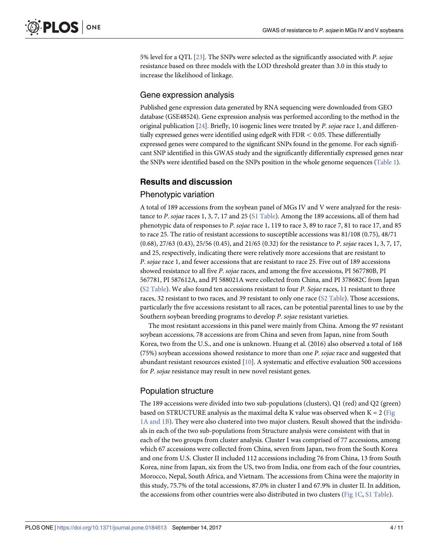<span id="page-3-0"></span>5% level for a QTL [[23](#page-10-0)]. The SNPs were selected as the significantly associated with *P*. *sojae* resistance based on three models with the LOD threshold greater than 3.0 in this study to increase the likelihood of linkage.

#### Gene expression analysis

Published gene expression data generated by RNA sequencing were downloaded from GEO database (GSE48524). Gene expression analysis was performed according to the method in the original publication [\[24](#page-10-0)]. Briefly, 10 isogenic lines were treated by *P*. *sojae* race 1, and differentially expressed genes were identified using edgeR with FDR *<* 0.05. These differentially expressed genes were compared to the significant SNPs found in the genome. For each significant SNP identified in this GWAS study and the significantly differentially expressed genes near the SNPs were identified based on the SNPs position in the whole genome sequences [\(Table](#page-4-0) 1).

## **Results and discussion**

#### Phenotypic variation

A total of 189 accessions from the soybean panel of MGs IV and V were analyzed for the resistance to *P*. *sojae* races 1, 3, 7, 17 and 25 (S1 [Table](#page-8-0)). Among the 189 accessions, all of them had phenotypic data of responses to *P*. *sojae* race 1, 119 to race 3, 89 to race 7, 81 to race 17, and 85 to race 25. The ratio of resistant accessions to susceptible accessions was 81/108 (0.75), 48/71 (0.68), 27/63 (0.43), 25/56 (0.45), and 21/65 (0.32) for the resistance to *P*. *sojae* races 1, 3, 7, 17, and 25, respectively, indicating there were relatively more accessions that are resistant to *P*. *sojae* race 1, and fewer accessions that are resistant to race 25. Five out of 189 accessions showed resistance to all five *P*. *sojae* races, and among the five accessions, PI 567780B, PI 567781, PI 587612A, and PI 588021A were collected from China, and PI 378682C from Japan (S2 [Table](#page-8-0)). We also found ten accessions resistant to four *P*. *Sojae* races, 11 resistant to three races, 32 resistant to two races, and 39 resistant to only one race (S2 [Table\)](#page-8-0). Those accessions, particularly the five accessions resistant to all races, can be potential parental lines to use by the Southern soybean breeding programs to develop *P*. *sojae* resistant varieties.

The most resistant accessions in this panel were mainly from China. Among the 97 resistant soybean accessions, 78 accessions are from China and seven from Japan, nine from South Korea, two from the U.S., and one is unknown. Huang et al. (2016) also observed a total of 168 (75%) soybean accessions showed resistance to more than one *P*. *sojae* race and suggested that abundant resistant resources existed [\[10\]](#page-9-0). A systematic and effective evaluation 500 accessions for *P*. *sojae* resistance may result in new novel resistant genes.

### Population structure

The 189 accessions were divided into two sub-populations (clusters), Q1 (red) and Q2 (green) based on STRUCTURE analysis as the maximal delta K value was observed when  $K = 2$  [\(Fig](#page-5-0). 1A [and](#page-5-0) 1B). They were also clustered into two major clusters. Result showed that the individuals in each of the two sub-populations from Structure analysis were consistent with that in each of the two groups from cluster analysis. Cluster I was comprised of 77 accessions, among which 67 accessions were collected from China, seven from Japan, two from the South Korea and one from U.S. Cluster II included 112 accessions including 76 from China, 13 from South Korea, nine from Japan, six from the US, two from India, one from each of the four countries, Morocco, Nepal, South Africa, and Vietnam. The accessions from China were the majority in this study, 75.7% of the total accessions, 87.0% in cluster I and 67.9% in cluster II. In addition, the accessions from other countries were also distributed in two clusters [\(Fig](#page-5-0) 1C, S1 [Table\)](#page-8-0).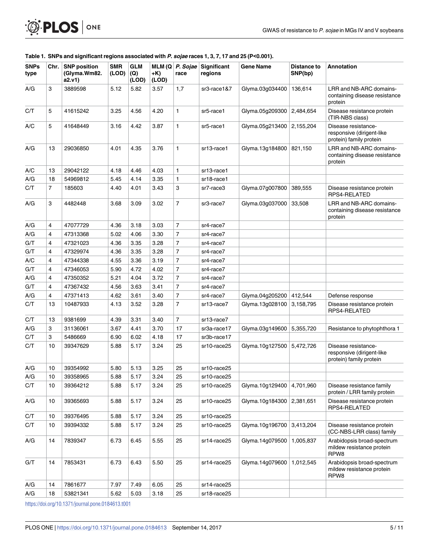#### [Table](#page-3-0) 1. SNPs and significant regions associated with P. sojae races 1, 3, 7, 17 and 25 (P<0.001).

<span id="page-4-0"></span>**OF PLOS** ONE

| <b>SNPs</b><br>type | Chr. | <b>SNP position</b><br>(Glyma.Wm82.<br>a2.v1) | <b>SMR</b><br>(LOD) | <b>GLM</b><br>(Q)<br>(LOD) | +K)<br>(LOD) | MLM $(Q \mid P.$ Sojae<br>race | Significant<br>regions | <b>Gene Name</b> | <b>Distance to</b><br>SNP(bp) | Annotation                                                                  |  |
|---------------------|------|-----------------------------------------------|---------------------|----------------------------|--------------|--------------------------------|------------------------|------------------|-------------------------------|-----------------------------------------------------------------------------|--|
| A/G                 | 3    | 3889598                                       | 5.12                | 5.82                       | 3.57         | 1,7                            | sr3-race1&7            | Glyma.03g034400  | 136,614                       | LRR and NB-ARC domains-<br>containing disease resistance<br>protein         |  |
| C/T                 | 5    | 41615242                                      | 3.25                | 4.56                       | 4.20         | $\mathbf{1}$                   | sr5-race1              | Glyma.05g209300  | 2,484,654                     | Disease resistance protein<br>(TIR-NBS class)                               |  |
| A/C                 | 5    | 41648449                                      | 3.16                | 4.42                       | 3.87         | $\mathbf{1}$                   | sr5-race1              | Glyma.05g213400  | 2,155,204                     | Disease resistance-<br>responsive (dirigent-like<br>protein) family protein |  |
| A/G                 | 13   | 29036850                                      | 4.01                | 4.35                       | 3.76         | $\mathbf{1}$                   | sr13-race1             | Glyma.13q184800  | 821.150                       | LRR and NB-ARC domains-<br>containing disease resistance<br>protein         |  |
| A/C                 | 13   | 29042122                                      | 4.18                | 4.46                       | 4.03         | $\mathbf{1}$                   | sr13-race1             |                  |                               |                                                                             |  |
| A/G                 | 18   | 54969812                                      | 5.45                | 4.14                       | 3.35         | $\mathbf{1}$                   | sr18-race1             |                  |                               |                                                                             |  |
| C/T                 | 7    | 185603                                        | 4.40                | 4.01                       | 3.43         | 3                              | sr7-race3              | Glyma.07g007800  | 389,555                       | Disease resistance protein<br>RPS4-RELATED                                  |  |
| A/G                 | 3    | 4482448                                       | 3.68                | 3.09                       | 3.02         | $\overline{7}$                 | sr3-race7              | Glyma.03g037000  | 33,508                        | LRR and NB-ARC domains-<br>containing disease resistance<br>protein         |  |
| A/G                 | 4    | 47077729                                      | 4.36                | 3.18                       | 3.03         | $\overline{7}$                 | sr4-race7              |                  |                               |                                                                             |  |
| A/G                 | 4    | 47313368                                      | 5.02                | 4.06                       | 3.30         | $\overline{7}$                 | sr4-race7              |                  |                               |                                                                             |  |
| G/T                 | 4    | 47321023                                      | 4.36                | 3.35                       | 3.28         | $\overline{7}$                 | sr4-race7              |                  |                               |                                                                             |  |
| G/T                 | 4    | 47329974                                      | 4.36                | 3.35                       | 3.28         | $\overline{7}$                 | sr4-race7              |                  |                               |                                                                             |  |
| A/C                 | 4    | 47344338                                      | 4.55                | 3.36                       | 3.19         | $\overline{7}$                 | sr4-race7              |                  |                               |                                                                             |  |
| G/T                 | 4    | 47346053                                      | 5.90                | 4.72                       | 4.02         | $\overline{7}$                 | sr4-race7              |                  |                               |                                                                             |  |
| A/G                 | 4    | 47350352                                      | 5.21                | 4.04                       | 3.72         | $\overline{7}$                 | sr4-race7              |                  |                               |                                                                             |  |
| G/T                 | 4    | 47367432                                      | 4.56                | 3.63                       | 3.41         | $\overline{7}$                 | sr4-race7              |                  |                               |                                                                             |  |
| A/G                 | 4    | 47371413                                      | 4.62                | 3.61                       | 3.40         | $\overline{7}$                 | sr4-race7              | Glyma.04g205200  | 412,544                       | Defense response                                                            |  |
| C/T                 | 13   | 10487933                                      | 4.13                | 3.52                       | 3.28         | $\overline{7}$                 | sr13-race7             | Glyma.13g028100  | 3,158,795                     | Disease resistance protein<br>RPS4-RELATED                                  |  |
| C/T                 | 13   | 9381699                                       | 4.39                | 3.31                       | 3.40         | $\overline{7}$                 | sr13-race7             |                  |                               |                                                                             |  |
| A/G                 | 3    | 31136061                                      | 3.67                | 4.41                       | 3.70         | 17                             | sr3a-race17            | Glyma.03g149600  | 5,355,720                     | Resistance to phytophthora 1                                                |  |
| C/T                 | 3    | 5486669                                       | 6.90                | 6.02                       | 4.18         | 17                             | sr3b-race17            |                  |                               |                                                                             |  |
| C/T                 | 10   | 39347629                                      | 5.88                | 5.17                       | 3.24         | 25                             | sr10-race25            | Glyma.10g127500  | 5,472,726                     | Disease resistance-<br>responsive (dirigent-like<br>protein) family protein |  |
| A/G                 | 10   | 39354992                                      | 5.80                | 5.13                       | 3.25         | 25                             | sr10-race25            |                  |                               |                                                                             |  |
| A/G                 | 10   | 39358965                                      | 5.88                | 5.17                       | 3.24         | 25                             | sr10-race25            |                  |                               |                                                                             |  |
| C/T                 | 10   | 39364212                                      | 5.88                | 5.17                       | 3.24         | 25                             | sr10-race25            | Glyma.10g129400  | 4,701,960                     | Disease resistance family<br>protein / LRR family protein                   |  |
| A/G                 | 10   | 39365693                                      | 5.88                | 5.17                       | 3.24         | 25                             | sr10-race25            | Glyma.10g184300  | 2,381,651                     | Disease resistance protein<br>RPS4-RELATED                                  |  |
| C/T                 | 10   | 39376495                                      | 5.88                | 5.17                       | 3.24         | 25                             | sr10-race25            |                  |                               |                                                                             |  |
| C/T                 | 10   | 39394332                                      | 5.88                | 5.17                       | 3.24         | 25                             | sr10-race25            | Glyma.10g196700  | 3,413,204                     | Disease resistance protein<br>(CC-NBS-LRR class) family                     |  |
| A/G                 | 14   | 7839347                                       | 6.73                | 6.45                       | 5.55         | 25                             | sr14-race25            | Glyma.14g079500  | 1,005,837                     | Arabidopsis broad-spectrum<br>mildew resistance protein<br>RPW8             |  |
| G/T                 | 14   | 7853431                                       | 6.73                | 6.43                       | 5.50         | 25                             | sr14-race25            | Glyma.14g079600  | 1,012,545                     | Arabidopsis broad-spectrum<br>mildew resistance protein<br>RPW8             |  |
| A/G                 | 14   | 7861677                                       | 7.97                | 7.49                       | 6.05         | 25                             | sr14-race25            |                  |                               |                                                                             |  |
| A/G                 | 18   | 53821341                                      | 5.62                | 5.03                       | 3.18         | 25                             | sr18-race25            |                  |                               |                                                                             |  |
|                     |      |                                               |                     |                            |              |                                |                        |                  |                               |                                                                             |  |

<https://doi.org/10.1371/journal.pone.0184613.t001>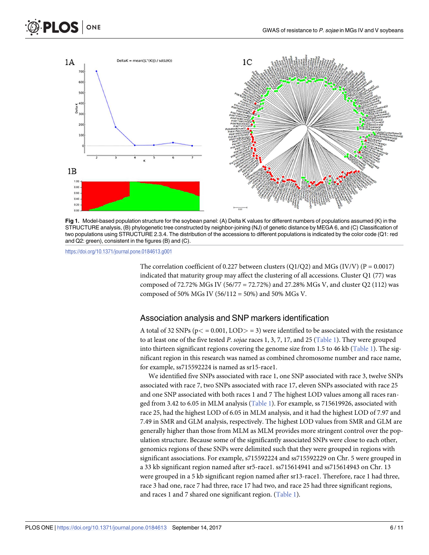<span id="page-5-0"></span>



**[Fig](#page-3-0) 1.** Model-based population structure for the soybean panel: (A) Delta K values for different numbers of populations assumed (K) in the STRUCTURE analysis, (B) phylogenetic tree constructed by neighbor-joining (NJ) of genetic distance by MEGA 6, and (C) Classification of two populations using STRUCTURE 2.3.4. The distribution of the accessions to different populations is indicated by the color code (Q1: red and Q2: green), consistent in the figures (B) and (C).

<https://doi.org/10.1371/journal.pone.0184613.g001>

The correlation coefficient of 0.227 between clusters (Q1/Q2) and MGs (IV/V) (P = 0.0017) indicated that maturity group may affect the clustering of all accessions. Cluster Q1 (77) was composed of 72.72% MGs IV (56/77 = 72.72%) and 27.28% MGs V, and cluster Q2 (112) was composed of 50% MGs IV (56/112 = 50%) and 50% MGs V.

#### Association analysis and SNP markers identification

A total of 32 SNPs (p*<* = 0.001, LOD*>* = 3) were identified to be associated with the resistance to at least one of the five tested *P*. *sojae* races 1, 3, 7, 17, and 25 [\(Table](#page-4-0) 1). They were grouped into thirteen significant regions covering the genome size from 1.5 to 46 kb ([Table](#page-4-0) 1). The significant region in this research was named as combined chromosome number and race name, for example, ss715592224 is named as sr15-race1.

We identified five SNPs associated with race 1, one SNP associated with race 3, twelve SNPs associated with race 7, two SNPs associated with race 17, eleven SNPs associated with race 25 and one SNP associated with both races 1 and 7 The highest LOD values among all races ranged from 3.42 to 6.05 in MLM analysis ([Table](#page-4-0) 1). For example, ss 715619926, associated with race 25, had the highest LOD of 6.05 in MLM analysis, and it had the highest LOD of 7.97 and 7.49 in SMR and GLM analysis, respectively. The highest LOD values from SMR and GLM are generally higher than those from MLM as MLM provides more stringent control over the population structure. Because some of the significantly associated SNPs were close to each other, genomics regions of these SNPs were delimited such that they were grouped in regions with significant associations. For example, s715592224 and ss715592229 on Chr. 5 were grouped in a 33 kb significant region named after sr5-race1. ss715614941 and ss715614943 on Chr. 13 were grouped in a 5 kb significant region named after sr13-race1. Therefore, race 1 had three, race 3 had one, race 7 had three, race 17 had two, and race 25 had three significant regions, and races 1 and 7 shared one significant region. [\(Table](#page-4-0) 1).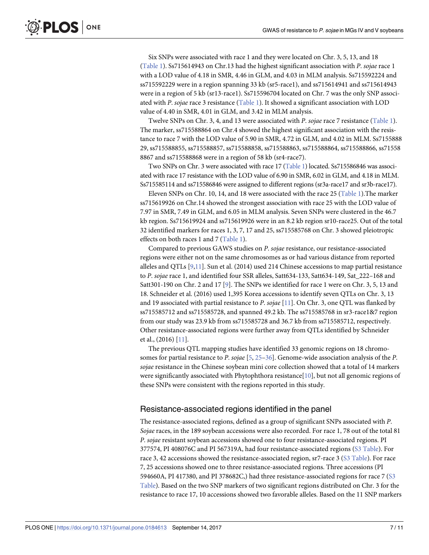<span id="page-6-0"></span>Six SNPs were associated with race 1 and they were located on Chr. 3, 5, 13, and 18 [\(Table](#page-4-0) 1). Ss715614943 on Chr.13 had the highest significant association with *P*. *sojae* race 1 with a LOD value of 4.18 in SMR, 4.46 in GLM, and 4.03 in MLM analysis. Ss715592224 and ss715592229 were in a region spanning 33 kb (sr5-race1), and ss715614941 and ss715614943 were in a region of 5 kb (sr13-race1). Ss715596704 located on Chr. 7 was the only SNP associated with *P*. *sojae* race 3 resistance ([Table](#page-4-0) 1). It showed a significant association with LOD value of 4.40 in SMR, 4.01 in GLM, and 3.42 in MLM analysis.

Twelve SNPs on Chr. 3, 4, and 13 were associated with *P*. *sojae* race 7 resistance [\(Table](#page-4-0) 1). The marker, ss715588864 on Chr.4 showed the highest significant association with the resistance to race 7 with the LOD value of 5.90 in SMR, 4.72 in GLM, and 4.02 in MLM. Ss7155888 29, ss715588855, ss715588857, ss715588858, ss715588863, ss715588864, ss715588866, ss71558 8867 and ss715588868 were in a region of 58 kb (sr4-race7).

Two SNPs on Chr. 3 were associated with race 17 [\(Table](#page-4-0) 1) located. Ss715586846 was associated with race 17 resistance with the LOD value of 6.90 in SMR, 6.02 in GLM, and 4.18 in MLM. Ss715585114 and ss715586846 were assigned to different regions (sr3a-race17 and sr3b-race17).

Eleven SNPs on Chr. 10, 14, and 18 were associated with the race 25 [\(Table](#page-4-0) 1).The marker ss715619926 on Chr.14 showed the strongest association with race 25 with the LOD value of 7.97 in SMR, 7.49 in GLM, and 6.05 in MLM analysis. Seven SNPs were clustered in the 46.7 kb region. Ss715619924 and ss715619926 were in an 8.2 kb region sr10-race25. Out of the total 32 identified markers for races 1, 3, 7, 17 and 25, ss715585768 on Chr. 3 showed pleiotropic effects on both races 1 and 7 ([Table](#page-4-0) 1).

Compared to previous GAWS studies on *P*. *sojae* resistance, our resistance-associated regions were either not on the same chromosomes as or had various distance from reported alleles and QTLs [[9,11\]](#page-9-0). Sun et al. (2014) used 214 Chinese accessions to map partial resistance to *P*. *sojae* race 1, and identified four SSR alleles, Satt634-133, Satt634-149, Sat\_222–168 and Satt301-190 on Chr. 2 and 17 [[9](#page-9-0)]. The SNPs we identified for race 1 were on Chr. 3, 5, 13 and 18. Schneider et al. (2016) used 1,395 Korea accessions to identify seven QTLs on Chr. 3, 13 and 19 associated with partial resistance to *P*. *sojae* [[11](#page-9-0)]. On Chr. 3, one QTL was flanked by ss715585712 and ss715585728, and spanned 49.2 kb. The ss715585768 in sr3-race1&7 region from our study was 23.9 kb from ss715585728 and 36.7 kb from ss715585712, respectively. Other resistance-associated regions were further away from QTLs identified by Schneider et al., (2016) [\[11\]](#page-9-0).

The previous QTL mapping studies have identified 33 genomic regions on 18 chromosomes for partial resistance to *P*. *sojae* [\[5,](#page-9-0) [25–36](#page-10-0)]. Genome-wide association analysis of the *P*. *sojae* resistance in the Chinese soybean mini core collection showed that a total of 14 markers were significantly associated with Phytophthora resistance[[10](#page-9-0)], but not all genomic regions of these SNPs were consistent with the regions reported in this study.

#### Resistance-associated regions identified in the panel

The resistance-associated regions, defined as a group of significant SNPs associated with *P*. *Sojae* races, in the 189 soybean accessions were also recorded. For race 1, 78 out of the total 81 *P*. *sojae* resistant soybean accessions showed one to four resistance-associated regions. PI 377574, PI 408076C and PI 567319A, had four resistance-associated regions (S3 [Table](#page-8-0)). For race 3, 42 accessions showed the resistance-associated region, sr7-race 3 (S3 [Table](#page-8-0)). For race 7, 25 accessions showed one to three resistance-associated regions. Three accessions (PI 594660A, PI 417380, and PI 378682C,) had three resistance-associated regions for race 7 [\(S3](#page-8-0) [Table](#page-8-0)). Based on the two SNP markers of two significant regions distributed on Chr. 3 for the resistance to race 17, 10 accessions showed two favorable alleles. Based on the 11 SNP markers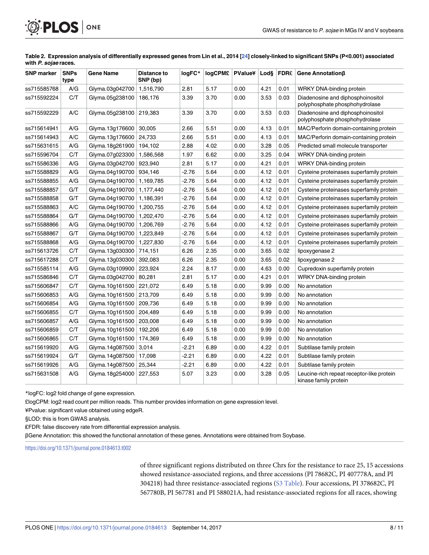| <b>SNP</b> marker | <b>SNPs</b><br>type | <b>Gene Name</b> | <b>Distance to</b><br>SNP (bp) | logFC*  | logCPM£   PValue¥   Lod§ |      |      | FDR£ | Gene Annotation <sub>ß</sub>                                        |
|-------------------|---------------------|------------------|--------------------------------|---------|--------------------------|------|------|------|---------------------------------------------------------------------|
| ss715585768       | A/G                 | Glyma.03g042700  | 1,516,790                      | 2.81    | 5.17                     | 0.00 | 4.21 | 0.01 | WRKY DNA-binding protein                                            |
| ss715592224       | C/T                 | Glyma.05g238100  | 186,176                        | 3.39    | 3.70                     | 0.00 | 3.53 | 0.03 | Diadenosine and diphosphoinositol<br>polyphosphate phosphohydrolase |
| ss715592229       | A/C                 | Glyma.05g238100  | 219,383                        | 3.39    | 3.70                     | 0.00 | 3.53 | 0.03 | Diadenosine and diphosphoinositol<br>polyphosphate phosphohydrolase |
| ss715614941       | A/G                 | Glyma.13g176600  | 30,005                         | 2.66    | 5.51                     | 0.00 | 4.13 | 0.01 | MAC/Perforin domain-containing protein                              |
| ss715614943       | A/C                 | Glyma.13g176600  | 24,733                         | 2.66    | 5.51                     | 0.00 | 4.13 | 0.01 | MAC/Perforin domain-containing protein                              |
| ss715631615       | A/G                 | Glyma.18g261900  | 194,102                        | 2.88    | 4.02                     | 0.00 | 3.28 | 0.05 | Predicted small molecule transporter                                |
| ss715596704       | C/T                 | Glyma.07g023300  | 1,586,568                      | 1.97    | 6.62                     | 0.00 | 3.25 | 0.04 | WRKY DNA-binding protein                                            |
| ss715586336       | A/G                 | Glyma.03g042700  | 923,940                        | 2.81    | 5.17                     | 0.00 | 4.21 | 0.01 | WRKY DNA-binding protein                                            |
| ss715588829       | A/G                 | Glyma.04g190700  | 934,146                        | $-2.76$ | 5.64                     | 0.00 | 4.12 | 0.01 | Cysteine proteinases superfamily protein                            |
| ss715588855       | A/G                 | Glyma.04g190700  | 1,169,785                      | $-2.76$ | 5.64                     | 0.00 | 4.12 | 0.01 | Cysteine proteinases superfamily protein                            |
| ss715588857       | G/T                 | Glyma.04g190700  | 1,177,440                      | $-2.76$ | 5.64                     | 0.00 | 4.12 | 0.01 | Cysteine proteinases superfamily protein                            |
| ss715588858       | G/T                 | Glyma.04g190700  | 1,186,391                      | $-2.76$ | 5.64                     | 0.00 | 4.12 | 0.01 | Cysteine proteinases superfamily protein                            |
| ss715588863       | A/C                 | Glyma.04g190700  | 1,200,755                      | $-2.76$ | 5.64                     | 0.00 | 4.12 | 0.01 | Cysteine proteinases superfamily protein                            |
| ss715588864       | G/T                 | Glyma.04g190700  | 1,202,470                      | $-2.76$ | 5.64                     | 0.00 | 4.12 | 0.01 | Cysteine proteinases superfamily protein                            |
| ss715588866       | A/G                 | Glyma.04g190700  | 1,206,769                      | $-2.76$ | 5.64                     | 0.00 | 4.12 | 0.01 | Cysteine proteinases superfamily protein                            |
| ss715588867       | G/T                 | Glyma.04g190700  | 1,223,849                      | $-2.76$ | 5.64                     | 0.00 | 4.12 | 0.01 | Cysteine proteinases superfamily protein                            |
| ss715588868       | A/G                 | Glyma.04g190700  | 1,227,830                      | -2.76   | 5.64                     | 0.00 | 4.12 | 0.01 | Cysteine proteinases superfamily protein                            |
| ss715613726       | C/T                 | Glyma.13g030300  | 714,151                        | 6.26    | 2.35                     | 0.00 | 3.65 | 0.02 | lipoxygenase 2                                                      |
| ss715617288       | C/T                 | Glyma.13g030300  | 392,083                        | 6.26    | 2.35                     | 0.00 | 3.65 | 0.02 | lipoxygenase 2                                                      |
| ss715585114       | A/G                 | Glyma.03g109900  | 223,924                        | 2.24    | 8.17                     | 0.00 | 4.63 | 0.00 | Cupredoxin superfamily protein                                      |
| ss715586846       | C/T                 | Glyma.03g042700  | 80,281                         | 2.81    | 5.17                     | 0.00 | 4.21 | 0.01 | WRKY DNA-binding protein                                            |
| ss715606847       | C/T                 | Glyma.10g161500  | 221,072                        | 6.49    | 5.18                     | 0.00 | 9.99 | 0.00 | No annotation                                                       |
| ss715606853       | A/G                 | Glyma.10g161500  | 213,709                        | 6.49    | 5.18                     | 0.00 | 9.99 | 0.00 | No annotation                                                       |
| ss715606854       | A/G                 | Glyma.10g161500  | 209,736                        | 6.49    | 5.18                     | 0.00 | 9.99 | 0.00 | No annotation                                                       |
| ss715606855       | C/T                 | Glyma.10g161500  | 204,489                        | 6.49    | 5.18                     | 0.00 | 9.99 | 0.00 | No annotation                                                       |
| ss715606857       | A/G                 | Glyma.10g161500  | 203,008                        | 6.49    | 5.18                     | 0.00 | 9.99 | 0.00 | No annotation                                                       |
| ss715606859       | C/T                 | Glyma.10g161500  | 192,206                        | 6.49    | 5.18                     | 0.00 | 9.99 | 0.00 | No annotation                                                       |
| ss715606865       | C/T                 | Glyma.10g161500  | 174,369                        | 6.49    | 5.18                     | 0.00 | 9.99 | 0.00 | No annotation                                                       |
| ss715619920       | A/G                 | Glyma.14g087500  | 3,014                          | $-2.21$ | 6.89                     | 0.00 | 4.22 | 0.01 | Subtilase family protein                                            |
| ss715619924       | G/T                 | Glyma.14g087500  | 17,098                         | -2.21   | 6.89                     | 0.00 | 4.22 | 0.01 | Subtilase family protein                                            |
| ss715619926       | A/G                 | Glyma.14g087500  | 25,344                         | $-2.21$ | 6.89                     | 0.00 | 4.22 | 0.01 | Subtilase family protein                                            |
| ss715631508       | A/G                 | Glyma.18g254000  | 227,553                        | 5.07    | 3.23                     | 0.00 | 3.28 | 0.05 | Leucine-rich repeat receptor-like protein<br>kinase family protein  |

[Table](#page-8-0) 2. Expression analysis of differentially expressed genes from Lin et al., 2014 [\[24\]](#page-10-0) closely-linked to significant SNPs (P<0.001) associated **with P. sojae races.**

\*logFC: log2 fold change of gene expression.

<span id="page-7-0"></span>**PLOS** | ONE

£logCPM: log2 read count per million reads. This number provides information on gene expression level.

¥Pvalue: significant value obtained using edgeR.

§LOD: this is from GWAS analysis.

₤FDR: false discovery rate from differential expression analysis.

βGene Annotation: this showed the functional annotation of these genes. Annotations were obtained from Soybase.

<https://doi.org/10.1371/journal.pone.0184613.t002>

of three significant regions distributed on three Chrs for the resistance to race 25, 15 accessions showed resistance-associated regions, and three accessions (PI 78682C, PI 407778A, and PI 304218) had three resistance-associated regions (S3 [Table\)](#page-8-0). Four accessions, PI 378682C, PI 567780B, PI 567781 and PI 588021A, had resistance-associated regions for all races, showing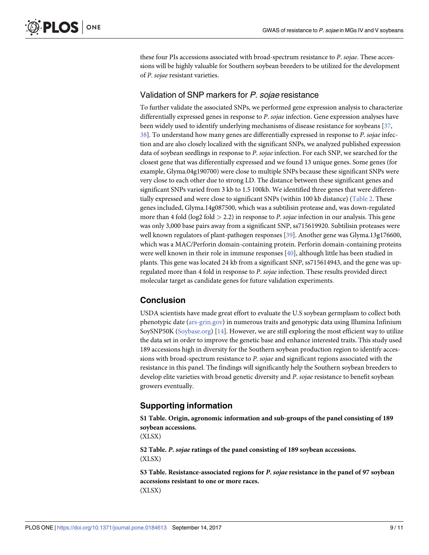<span id="page-8-0"></span>these four PIs accessions associated with broad-spectrum resistance to *P*. *sojae*. These accessions will be highly valuable for Southern soybean breeders to be utilized for the development of *P*. *sojae* resistant varieties.

# Validation of SNP markers for P. sojae resistance

To further validate the associated SNPs, we performed gene expression analysis to characterize differentially expressed genes in response to *P*. *sojae* infection. Gene expression analyses have been widely used to identify underlying mechanisms of disease resistance for soybeans [\[37,](#page-10-0) [38\]](#page-10-0). To understand how many genes are differentially expressed in response to *P*. *sojae* infection and are also closely localized with the significant SNPs, we analyzed published expression data of soybean seedlings in response to *P*. *sojae* infection. For each SNP, we searched for the closest gene that was differentially expressed and we found 13 unique genes. Some genes (for example, Glyma.04g190700) were close to multiple SNPs because these significant SNPs were very close to each other due to strong LD. The distance between these significant genes and significant SNPs varied from 3 kb to 1.5 100kb. We identified three genes that were differentially expressed and were close to significant SNPs (within 100 kb distance) ([Table](#page-7-0) 2. These genes included, Glyma.14g087500, which was a subtilisin protease and, was down-regulated more than 4 fold (log2 fold *>* 2.2) in response to *P*. *sojae* infection in our analysis. This gene was only 3,000 base pairs away from a significant SNP, ss715619920. Subtilisin proteases were well known regulators of plant-pathogen responses [\[39\]](#page-10-0). Another gene was Glyma.13g176600, which was a MAC/Perforin domain-containing protein. Perforin domain-containing proteins were well known in their role in immune responses [[40](#page-10-0)], although little has been studied in plants. This gene was located 24 kb from a significant SNP, ss715614943, and the gene was upregulated more than 4 fold in response to *P*. *sojae* infection. These results provided direct molecular target as candidate genes for future validation experiments.

# **Conclusion**

USDA scientists have made great effort to evaluate the U.S soybean germplasm to collect both phenotypic date [\(ars-grin.gov\)](http://ars-grin.gov) in numerous traits and genotypic data using Illumina Infinium SoySNP50K ([Soybase.org](http://Soybase.org)) [\[14\]](#page-9-0). However, we are still exploring the most efficient way to utilize the data set in order to improve the genetic base and enhance interested traits. This study used 189 accessions high in diversity for the Southern soybean production region to identify accessions with broad-spectrum resistance to *P*. *sojae* and significant regions associated with the resistance in this panel. The findings will significantly help the Southern soybean breeders to develop elite varieties with broad genetic diversity and *P*. *sojae* resistance to benefit soybean growers eventually.

# **Supporting information**

**S1 [Table.](http://www.plosone.org/article/fetchSingleRepresentation.action?uri=info:doi/10.1371/journal.pone.0184613.s001) Origin, agronomic information and sub-groups of the panel consisting of 189 soybean accessions.** (XLSX)

**S2 [Table.](http://www.plosone.org/article/fetchSingleRepresentation.action?uri=info:doi/10.1371/journal.pone.0184613.s002)** *P***.** *sojae* **ratings of the panel consisting of 189 soybean accessions.** (XLSX)

**S3 [Table.](http://www.plosone.org/article/fetchSingleRepresentation.action?uri=info:doi/10.1371/journal.pone.0184613.s003) Resistance-associated regions for** *P***.** *sojae* **resistance in the panel of 97 soybean accessions resistant to one or more races.** (XLSX)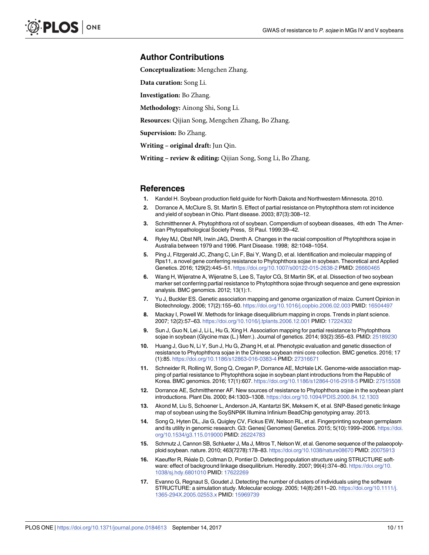#### <span id="page-9-0"></span>**Author Contributions**

**Conceptualization:** Mengchen Zhang.

**Data curation:** Song Li.

**Investigation:** Bo Zhang.

**Methodology:** Ainong Shi, Song Li.

**Resources:** Qijian Song, Mengchen Zhang, Bo Zhang.

**Supervision:** Bo Zhang.

**Writing – original draft:** Jun Qin.

**Writing – review & editing:** Qijian Song, Song Li, Bo Zhang.

#### **References**

- **[1](#page-1-0).** Kandel H. Soybean production field guide for North Dakota and Northwestern Minnesota. 2010.
- **[2](#page-1-0).** Dorrance A, McClure S, St. Martin S. Effect of partial resistance on Phytophthora stem rot incidence and yield of soybean in Ohio. Plant disease. 2003; 87(3):308–12.
- **[3](#page-1-0).** Schmitthenner A. Phytophthora rot of soybean. Compendium of soybean diseases, 4th edn The American Phytopathological Society Press, St Paul. 1999:39–42.
- **[4](#page-1-0).** Ryley MJ, Obst NR, Irwin JAG, Drenth A. Changes in the racial composition of Phytophthora sojae in Australia between 1979 and 1996. Plant Disease. 1998; 82:1048–1054.
- **[5](#page-1-0).** Ping J, Fitzgerald JC, Zhang C, Lin F, Bai Y, Wang D, et al. Identification and molecular mapping of Rps11, a novel gene conferring resistance to Phytophthora sojae in soybean. Theoretical and Applied Genetics. 2016; 129(2):445–51. <https://doi.org/10.1007/s00122-015-2638-2> PMID: [26660465](http://www.ncbi.nlm.nih.gov/pubmed/26660465)
- **[6](#page-1-0).** Wang H, Wijeratne A, Wijeratne S, Lee S, Taylor CG, St Martin SK, et al. Dissection of two soybean marker set conferring partial resistance to Phytophthora sojae through sequence and gene expression analysis. BMC genomics. 2012; 13(1):1.
- **[7](#page-1-0).** Yu J, Buckler ES. Genetic association mapping and genome organization of maize. Current Opinion in Biotechnology. 2006; 17(2):155–60. <https://doi.org/10.1016/j.copbio.2006.02.003> PMID: [16504497](http://www.ncbi.nlm.nih.gov/pubmed/16504497)
- **[8](#page-1-0).** Mackay I, Powell W. Methods for linkage disequilibrium mapping in crops. Trends in plant science. 2007; 12(2):57–63. <https://doi.org/10.1016/j.tplants.2006.12.001> PMID: [17224302](http://www.ncbi.nlm.nih.gov/pubmed/17224302)
- **[9](#page-1-0).** Sun J, Guo N, Lei J, Li L, Hu G, Xing H. Association mapping for partial resistance to Phytophthora sojae in soybean (Glycine max (L.) Merr.). Journal of genetics. 2014; 93(2):355–63. PMID: [25189230](http://www.ncbi.nlm.nih.gov/pubmed/25189230)
- **[10](#page-1-0).** Huang J, Guo N, Li Y, Sun J, Hu G, Zhang H, et al. Phenotypic evaluation and genetic dissection of resistance to Phytophthora sojae in the Chinese soybean mini core collection. BMC genetics. 2016; 17 (1):85. <https://doi.org/10.1186/s12863-016-0383-4> PMID: [27316671](http://www.ncbi.nlm.nih.gov/pubmed/27316671)
- **[11](#page-1-0).** Schneider R, Rolling W, Song Q, Cregan P, Dorrance AE, McHale LK. Genome-wide association mapping of partial resistance to Phytophthora sojae in soybean plant introductions from the Republic of Korea. BMC genomics. 2016; 17(1):607. <https://doi.org/10.1186/s12864-016-2918-5> PMID: [27515508](http://www.ncbi.nlm.nih.gov/pubmed/27515508)
- **[12](#page-1-0).** Dorrance AE, Schmitthenner AF. New sources of resistance to Phytophthora sojae in the soybean plant introductions. Plant Dis. 2000; 84:1303–1308. <https://doi.org/10.1094/PDIS.2000.84.12.1303>
- **[13](#page-1-0).** Akond M, Liu S, Schoener L, Anderson JA, Kantartzi SK, Meksem K, et al. SNP-Based genetic linkage map of soybean using the SoySNP6K Illumina Infinium BeadChip genotyping array. 2013.
- **[14](#page-1-0).** Song Q, Hyten DL, Jia G, Quigley CV, Fickus EW, Nelson RL, et al. Fingerprinting soybean germplasm and its utility in genomic research. G3: Genes| Genomes| Genetics. 2015; 5(10):1999–2006. [https://doi.](https://doi.org/10.1534/g3.115.019000) [org/10.1534/g3.115.019000](https://doi.org/10.1534/g3.115.019000) PMID: [26224783](http://www.ncbi.nlm.nih.gov/pubmed/26224783)
- **[15](#page-2-0).** Schmutz J, Cannon SB, Schlueter J, Ma J, Mitros T, Nelson W, et al. Genome sequence of the palaeopolyploid soybean. nature. 2010; 463(7278):178–83. <https://doi.org/10.1038/nature08670> PMID: [20075913](http://www.ncbi.nlm.nih.gov/pubmed/20075913)
- [16](#page-2-0). Kaeuffer R, Réale D, Coltman D, Pontier D. Detecting population structure using STRUCTURE software: effect of background linkage disequilibrium. Heredity. 2007; 99(4):374-80. [https://doi.org/10.](https://doi.org/10.1038/sj.hdy.6801010) [1038/sj.hdy.6801010](https://doi.org/10.1038/sj.hdy.6801010) PMID: [17622269](http://www.ncbi.nlm.nih.gov/pubmed/17622269)
- **[17](#page-2-0).** Evanno G, Regnaut S, Goudet J. Detecting the number of clusters of individuals using the software STRUCTURE: a simulation study. Molecular ecology. 2005; 14(8):2611–20. [https://doi.org/10.1111/j.](https://doi.org/10.1111/j.1365-294X.2005.02553.x) [1365-294X.2005.02553.x](https://doi.org/10.1111/j.1365-294X.2005.02553.x) PMID: [15969739](http://www.ncbi.nlm.nih.gov/pubmed/15969739)